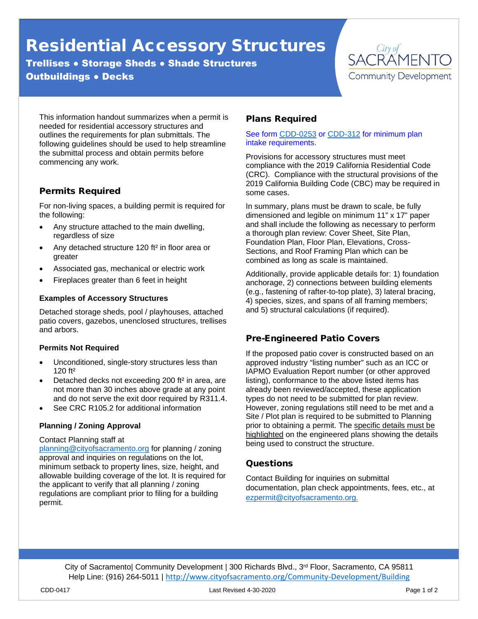# Residential Accessory Structures

Trellises ● Storage Sheds ● Shade Structures **Outbuildings . Decks** 



This information handout summarizes when a permit is needed for residential accessory structures and outlines the requirements for plan submittals. The following guidelines should be used to help streamline the submittal process and obtain permits before commencing any work.

# Permits Required

For non-living spaces, a building permit is required for the following:

- Any structure attached to the main dwelling, regardless of size
- Any detached structure 120 ft² in floor area or greater
- Associated gas, mechanical or electric work
- Fireplaces greater than 6 feet in height

### **Examples of Accessory Structures**

Detached storage sheds, pool / playhouses, attached patio covers, gazebos, unenclosed structures, trellises and arbors.

### **Permits Not Required**

- Unconditioned, single-story structures less than 120 ft²
- Detached decks not exceeding 200 ft² in area, are not more than 30 inches above grade at any point and do not serve the exit door required by R311.4.
- See CRC R105.2 for additional information

### **Planning / Zoning Approval**

#### Contact Planning staff at

[planning@cityofsacramento.org](mailto:planning@cityofsacramento.org) for planning / zoning approval and inquiries on regulations on the lot, minimum setback to property lines, size, height, and allowable building coverage of the lot. It is required for the applicant to verify that all planning / zoning regulations are compliant prior to filing for a building permit.

## Plans Required

#### See form [CDD-0253](http://www.cityofsacramento.org/-/media/Corporate/Files/CDD/Building/Forms/CDD-0253_Residential-Addition-Interior-Remodel-Take-in-Sheet.pdf?la=en) or [CDD-312](http://www.cityofsacramento.org/-/media/Corporate/Files/CDD/Building/Forms/CDD-0312_New-Residential-Building-1-2-Units-Submittal-Checklist_1-24-2020.pdf?la=en) for minimum plan intake requirements.

Provisions for accessory structures must meet compliance with the 2019 California Residential Code (CRC). Compliance with the structural provisions of the 2019 California Building Code (CBC) may be required in some cases.

In summary, plans must be drawn to scale, be fully dimensioned and legible on minimum 11" x 17" paper and shall include the following as necessary to perform a thorough plan review: Cover Sheet, Site Plan, Foundation Plan, Floor Plan, Elevations, Cross-Sections, and Roof Framing Plan which can be combined as long as scale is maintained.

Additionally, provide applicable details for: 1) foundation anchorage, 2) connections between building elements (e.g., fastening of rafter-to-top plate), 3) lateral bracing, 4) species, sizes, and spans of all framing members; and 5) structural calculations (if required).

## Pre-Engineered Patio Covers

If the proposed patio cover is constructed based on an approved industry "listing number" such as an ICC or IAPMO Evaluation Report number (or other approved listing), conformance to the above listed items has already been reviewed/accepted, these application types do not need to be submitted for plan review. However, zoning regulations still need to be met and a Site / Plot plan is required to be submitted to Planning prior to obtaining a permit. The specific details must be highlighted on the engineered plans showing the details being used to construct the structure.

## Questions

Contact Building for inquiries on submittal documentation, plan check appointments, fees, etc., at [ezpermit@cityofsacramento.org.](mailto:ezpermit@cityofsacramento.org) 

City of Sacramento| Community Development | 300 Richards Blvd., 3rd Floor, Sacramento, CA 95811 Help Line: (916) 264-5011 | <http://www.cityofsacramento.org/Community-Development/Building>